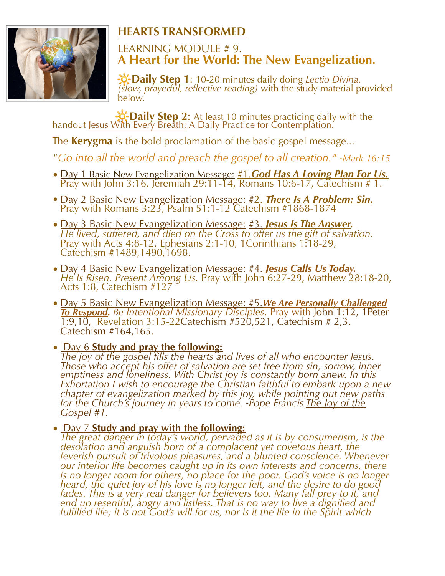

## **HEARTS TRANSFORMED**

## LEARNING MODULE # 9. **A Heart for the World: The New Evangelization.**

 **Daily Step <sup>1</sup>**: 10-20 minutes daily doing *Lectio Divina. (slow, prayerful, reflective reading)* with the study material provided below.

**Po-Daily Step 2**: At least 10 minutes practicing daily with the handout Jesus With Every Breath: A Daily Practice for Contemplation.

The **Kerygma** is the bold proclamation of the basic gospel message...

*"Go into all the world and preach the gospel to all creation." -Mark 16:15*

- Day 1 Basic New Evangelization Message: #1*.God Has A Loving Plan For Us.* Pray with John 3:16, Jeremiah 29:11-14, Romans 10:6-17, Catechism # 1.
- Day 2 Basic New Evangelization Message: #2. *There Is A Problem: Sin.*  Pray with Romans 3:23, Psalm 51:1-12 Catechism #1868-1874
- Day 3 Basic New Evangelization Message: #3. **Jesus Is The Answer.**<br>He lived, suffered, and died on the Cross to offer us the gift of salvation.<br>Pray with Acts 4:8-12, Ephesians 2:1-10, 1Corinthians 1:18-29,<br>Catechism #14
- Day 4 Basic New Evangelization Message: #4. *Jesus Calls Us Today. He Is Risen. Present Among Us.* Pray with John 6:27-29, Matthew 28:18-20, Acts 1:8, Catechism #127
- Day 5 Basic New Evangelization Message: #5.*We Are Personally Challenged To Respond. Be Intentional Missionary Disciples.* Pray with John 1:12, 1Peter 1:9,10, Revelation 3:15-22Catechism #520,521, Catechism # 2,3. Catechism #164,165.

• Day 6 **Study and pray the following:** *The joy of the gospel fills the hearts and lives of all who encounter Jesus. Those who accept his offer of salvation are set free from sin, sorrow, inner emptiness and loneliness. With Christ joy is constantly born anew. In this Exhortation I wish to encourage the Christian faithful to embark upon a new chapter of evangelization marked by this joy, while pointing out new paths for the Church's journey in years to come. -Pope Francis <u>The Joy of the Gospel</u> #1.* 

• Day 7 **Study and pray with the following:** *The great danger in today's world, pervaded as it is by consumerism, is the desolation and anguish born of a complacent yet covetous heart, the feverish pursuit of frivolous pleasures, and a blunted conscience. Whenever our interior life becomes caught up in its own interests and concerns, there is no longer room for others, no place for the poor. God's voice is no longer heard, the quiet joy of his love is no longer felt, and the desire to do good fades. This is a very real danger for believers too. Many fall prey to it, and end up resentful, angry and listless. That is no way to live a dignified and fulfilled life; it is not God's will for us, nor is it the life in the Spirit which*